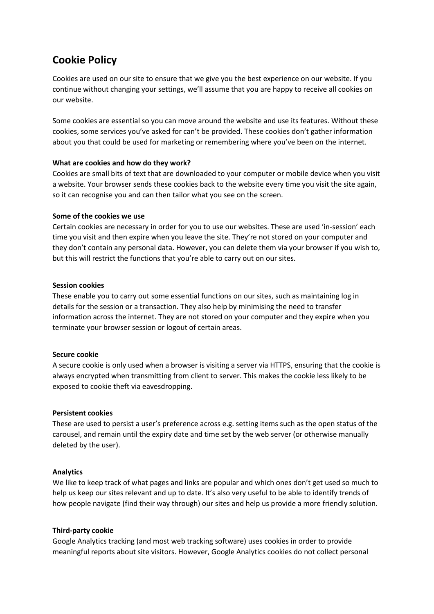# **Cookie Policy**

Cookies are used on our site to ensure that we give you the best experience on our website. If you continue without changing your settings, we'll assume that you are happy to receive all cookies on our website.

Some cookies are essential so you can move around the website and use its features. Without these cookies, some services you've asked for can't be provided. These cookies don't gather information about you that could be used for marketing or remembering where you've been on the internet.

# **What are cookies and how do they work?**

Cookies are small bits of text that are downloaded to your computer or mobile device when you visit a website. Your browser sends these cookies back to the website every time you visit the site again, so it can recognise you and can then tailor what you see on the screen.

# **Some of the cookies we use**

Certain cookies are necessary in order for you to use our websites. These are used 'in-session' each time you visit and then expire when you leave the site. They're not stored on your computer and they don't contain any personal data. However, you can delete them via your browser if you wish to, but this will restrict the functions that you're able to carry out on our sites.

# **Session cookies**

These enable you to carry out some essential functions on our sites, such as maintaining log in details for the session or a transaction. They also help by minimising the need to transfer information across the internet. They are not stored on your computer and they expire when you terminate your browser session or logout of certain areas.

#### **Secure cookie**

A secure cookie is only used when a browser is visiting a server via HTTPS, ensuring that the cookie is always encrypted when transmitting from client to server. This makes the cookie less likely to be exposed to cookie theft via eavesdropping.

#### **Persistent cookies**

These are used to persist a user's preference across e.g. setting items such as the open status of the carousel, and remain until the expiry date and time set by the web server (or otherwise manually deleted by the user).

# **Analytics**

We like to keep track of what pages and links are popular and which ones don't get used so much to help us keep our sites relevant and up to date. It's also very useful to be able to identify trends of how people navigate (find their way through) our sites and help us provide a more friendly solution.

#### **Third-party cookie**

Google Analytics tracking (and most web tracking software) uses cookies in order to provide meaningful reports about site visitors. However, Google Analytics cookies do not collect personal